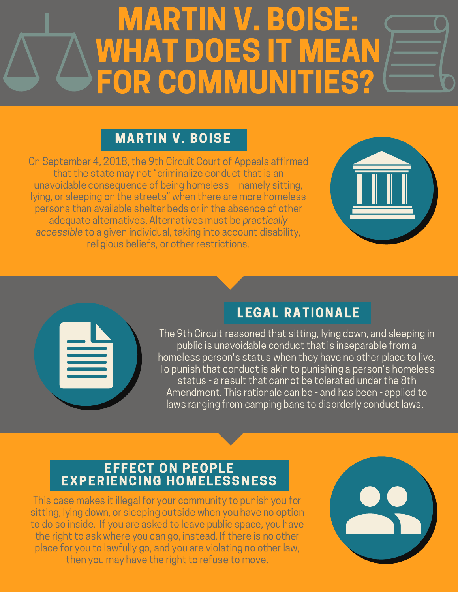# MARTIN V. BOISE: WHAT DOES IT MEA FOR COMMUNITIES<sup>®</sup>

### MARTIN V. BOISE

On September 4, 2018, the 9th Circuit Court of Appeals affirmed that the state may not "criminalize conduct that is an unavoidable consequence of being homeless—namely sitting, lying, or sleeping on the streets" when there are more homeless persons than available shelter beds or in the absence of other adequate alternatives. Alternatives must be practically accessible to a given individual, taking into account disability, religious beliefs, or other restrictions.





# LEGAL RATIONALE

The 9th Circuit reasoned that sitting, lying down, and sleeping in public is unavoidable conduct that is inseparable from a homeless person's status when they have no other place to live. To punish that conduct is akin to punishing a person's homeless status - a result that cannot be tolerated under the 8th Amendment. This rationale can be - and has been - applied to laws ranging from camping bans to disorderly conduct laws.

#### EFFECT ON PEOPLE EXPERIENCING HOMELESSNESS

This case makes it illegal for your community to punish you for sitting, lying down, or sleeping outside when you have no option to do so inside. If you are asked to leave public space, you have the right to ask where you can go, instead. If there is no other place for you to lawfully go, and you are violating no other law, then you may have the right to refuse to move.